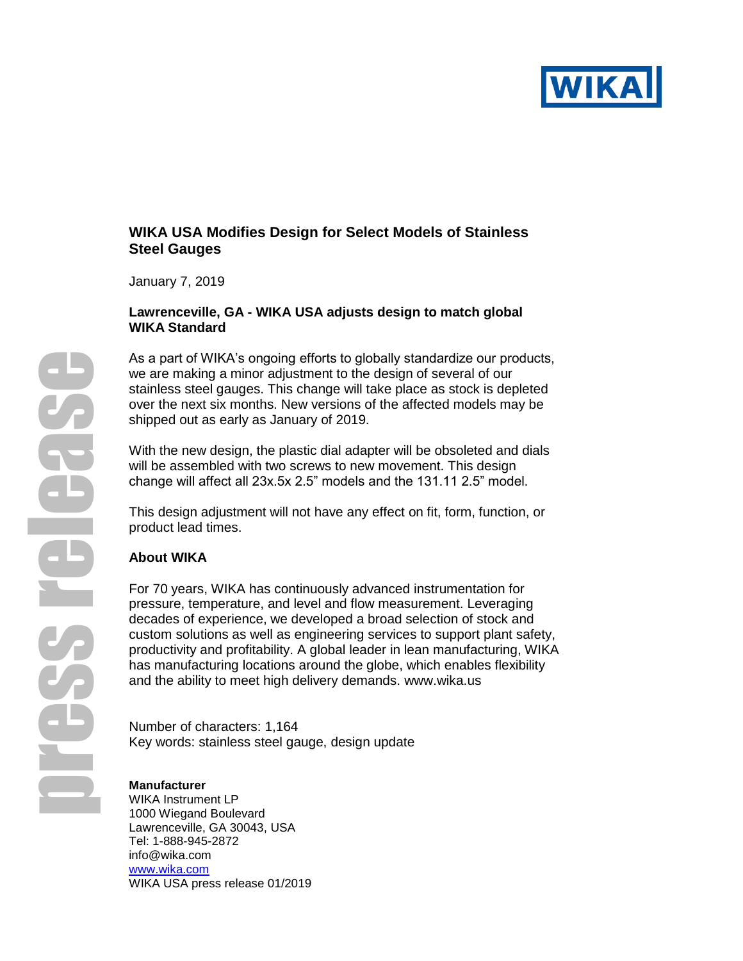

## **WIKA USA Modifies Design for Select Models of Stainless Steel Gauges**

January 7, 2019

### **Lawrenceville, GA - WIKA USA adjusts design to match global WIKA Standard**

As a part of WIKA's ongoing efforts to globally standardize our products, we are making a minor adjustment to the design of several of our stainless steel gauges. This change will take place as stock is depleted over the next six months. New versions of the affected models may be shipped out as early as January of 2019.

With the new design, the plastic dial adapter will be obsoleted and dials will be assembled with two screws to new movement. This design change will affect all 23x.5x 2.5" models and the 131.11 2.5" model.

This design adjustment will not have any effect on fit, form, function, or product lead times.

# **About WIKA**

For 70 years, WIKA has continuously advanced instrumentation for pressure, temperature, and level and flow measurement. Leveraging decades of experience, we developed a broad selection of stock and custom solutions as well as engineering services to support plant safety, productivity and profitability. A global leader in lean manufacturing, WIKA has manufacturing locations around the globe, which enables flexibility and the ability to meet high delivery demands. [www.wika.us](http://www.wika.us/)

Number of characters: 1,164 Key words: stainless steel gauge, design update

#### **Manufacturer**

WIKA Instrument LP 1000 Wiegand Boulevard Lawrenceville, GA 30043, USA Tel: 1-888-945-2872 info@wika.com [www.wika.c](http://www.wika./)om WIKA USA press release 01/2019